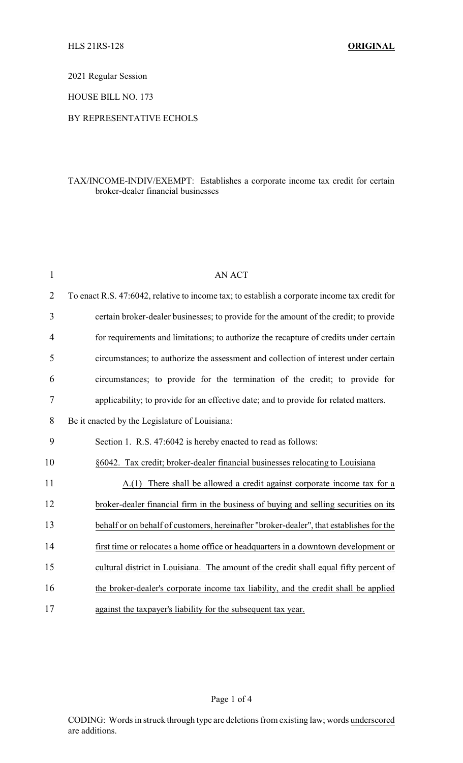2021 Regular Session

HOUSE BILL NO. 173

## BY REPRESENTATIVE ECHOLS

## TAX/INCOME-INDIV/EXEMPT: Establishes a corporate income tax credit for certain broker-dealer financial businesses

| $\mathbf{1}$   | <b>AN ACT</b>                                                                                 |
|----------------|-----------------------------------------------------------------------------------------------|
| $\overline{2}$ | To enact R.S. 47:6042, relative to income tax; to establish a corporate income tax credit for |
| 3              | certain broker-dealer businesses; to provide for the amount of the credit; to provide         |
| 4              | for requirements and limitations; to authorize the recapture of credits under certain         |
| 5              | circumstances; to authorize the assessment and collection of interest under certain           |
| 6              | circumstances; to provide for the termination of the credit; to provide for                   |
| $\tau$         | applicability; to provide for an effective date; and to provide for related matters.          |
| 8              | Be it enacted by the Legislature of Louisiana:                                                |
| 9              | Section 1. R.S. 47:6042 is hereby enacted to read as follows:                                 |
| 10             | §6042. Tax credit; broker-dealer financial businesses relocating to Louisiana                 |
| 11             | A.(1) There shall be allowed a credit against corporate income tax for a                      |
| 12             | broker-dealer financial firm in the business of buying and selling securities on its          |
| 13             | behalf or on behalf of customers, hereinafter "broker-dealer", that establishes for the       |
| 14             | first time or relocates a home office or headquarters in a downtown development or            |
| 15             | cultural district in Louisiana. The amount of the credit shall equal fifty percent of         |
| 16             | the broker-dealer's corporate income tax liability, and the credit shall be applied           |
| 17             | against the taxpayer's liability for the subsequent tax year.                                 |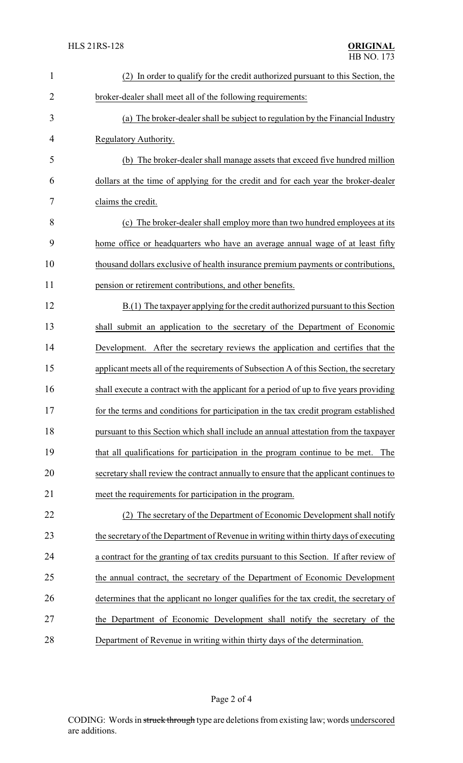| $\mathbf{1}$   | (2) In order to qualify for the credit authorized pursuant to this Section, the         |
|----------------|-----------------------------------------------------------------------------------------|
| $\overline{2}$ | broker-dealer shall meet all of the following requirements:                             |
| 3              | (a) The broker-dealer shall be subject to regulation by the Financial Industry          |
| 4              | Regulatory Authority.                                                                   |
| 5              | (b) The broker-dealer shall manage assets that exceed five hundred million              |
| 6              | dollars at the time of applying for the credit and for each year the broker-dealer      |
| 7              | claims the credit.                                                                      |
| 8              | (c) The broker-dealer shall employ more than two hundred employees at its               |
| 9              | home office or headquarters who have an average annual wage of at least fifty           |
| 10             | thousand dollars exclusive of health insurance premium payments or contributions,       |
| 11             | pension or retirement contributions, and other benefits.                                |
| 12             | B.(1) The taxpayer applying for the credit authorized pursuant to this Section          |
| 13             | shall submit an application to the secretary of the Department of Economic              |
| 14             | Development. After the secretary reviews the application and certifies that the         |
| 15             | applicant meets all of the requirements of Subsection A of this Section, the secretary  |
| 16             | shall execute a contract with the applicant for a period of up to five years providing  |
| 17             | for the terms and conditions for participation in the tax credit program established    |
| 18             | pursuant to this Section which shall include an annual attestation from the taxpayer    |
| 19             | that all qualifications for participation in the program continue to be met. The        |
| 20             | secretary shall review the contract annually to ensure that the applicant continues to  |
| 21             | meet the requirements for participation in the program.                                 |
| 22             | (2) The secretary of the Department of Economic Development shall notify                |
| 23             | the secretary of the Department of Revenue in writing within thirty days of executing   |
| 24             | a contract for the granting of tax credits pursuant to this Section. If after review of |
| 25             | the annual contract, the secretary of the Department of Economic Development            |
| 26             | determines that the applicant no longer qualifies for the tax credit, the secretary of  |
| 27             | the Department of Economic Development shall notify the secretary of the                |
| 28             | Department of Revenue in writing within thirty days of the determination.               |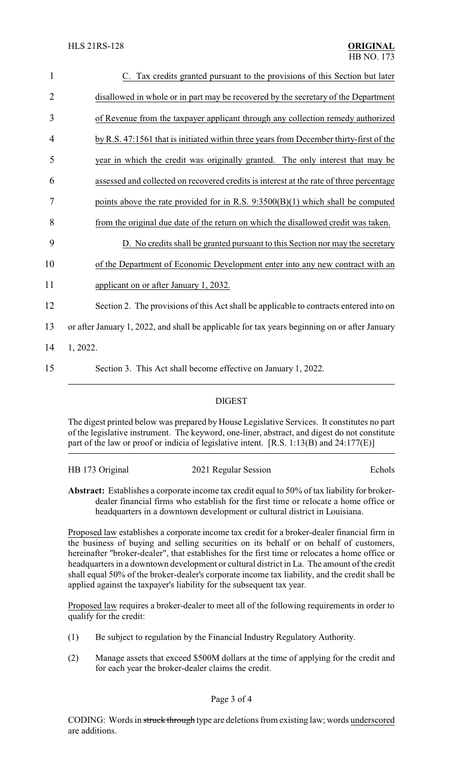| 1              | C. Tax credits granted pursuant to the provisions of this Section but later                   |
|----------------|-----------------------------------------------------------------------------------------------|
| $\overline{2}$ | disallowed in whole or in part may be recovered by the secretary of the Department            |
| 3              | of Revenue from the taxpayer applicant through any collection remedy authorized               |
| 4              | by R.S. 47:1561 that is initiated within three years from December thirty-first of the        |
| 5              | year in which the credit was originally granted. The only interest that may be                |
| 6              | assessed and collected on recovered credits is interest at the rate of three percentage       |
| 7              | points above the rate provided for in R.S. $9:3500(B)(1)$ which shall be computed             |
| 8              | from the original due date of the return on which the disallowed credit was taken.            |
| 9              | D. No credits shall be granted pursuant to this Section nor may the secretary                 |
| 10             | of the Department of Economic Development enter into any new contract with an                 |
| 11             | applicant on or after January 1, 2032.                                                        |
| 12             | Section 2. The provisions of this Act shall be applicable to contracts entered into on        |
| 13             | or after January 1, 2022, and shall be applicable for tax years beginning on or after January |
| 14             | 1, 2022.                                                                                      |
| 15             | Section 3. This Act shall become effective on January 1, 2022.                                |

## DIGEST

The digest printed below was prepared by House Legislative Services. It constitutes no part of the legislative instrument. The keyword, one-liner, abstract, and digest do not constitute part of the law or proof or indicia of legislative intent. [R.S. 1:13(B) and 24:177(E)]

| HB 173 Original | 2021 Regular Session | Echols |
|-----------------|----------------------|--------|
|                 |                      |        |

**Abstract:** Establishes a corporate income tax credit equal to 50% of tax liability for brokerdealer financial firms who establish for the first time or relocate a home office or headquarters in a downtown development or cultural district in Louisiana.

Proposed law establishes a corporate income tax credit for a broker-dealer financial firm in the business of buying and selling securities on its behalf or on behalf of customers, hereinafter "broker-dealer", that establishes for the first time or relocates a home office or headquarters in a downtown development or cultural district in La. The amount of the credit shall equal 50% of the broker-dealer's corporate income tax liability, and the credit shall be applied against the taxpayer's liability for the subsequent tax year.

Proposed law requires a broker-dealer to meet all of the following requirements in order to qualify for the credit:

- (1) Be subject to regulation by the Financial Industry Regulatory Authority.
- (2) Manage assets that exceed \$500M dollars at the time of applying for the credit and for each year the broker-dealer claims the credit.